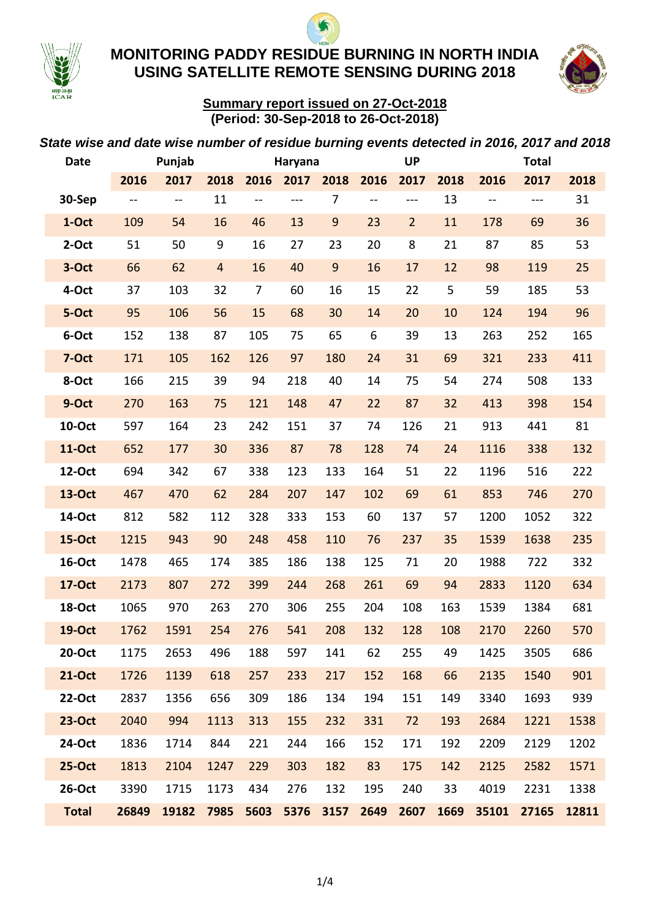

## **MONITORING PADDY RESIDUE BURNING IN NORTH INDIA USING SATELLITE REMOTE SENSING DURING 2018**



## **Summary report issued on 27-Oct-2018 (Period: 30-Sep-2018 to 26-Oct-2018)**

*State wise and date wise number of residue burning events detected in 2016, 2017 and 2018*

| <b>Date</b> |               | Punjab |               |                         | Haryana        |       |                |                          | <b>UP</b>      |      | <b>Total</b>             |       |       |
|-------------|---------------|--------|---------------|-------------------------|----------------|-------|----------------|--------------------------|----------------|------|--------------------------|-------|-------|
|             |               | 2016   | 2017          | 2018                    | 2016           | 2017  | 2018           | 2016                     | 2017           | 2018 | 2016                     | 2017  | 2018  |
|             | 30-Sep        | --     | $\frac{1}{2}$ | 11                      | --             | $---$ | $\overline{7}$ | $\overline{\phantom{a}}$ | $---$          | 13   | $\overline{\phantom{a}}$ | $-$   | 31    |
|             | 1-Oct         | 109    | 54            | 16                      | 46             | 13    | $\overline{9}$ | 23                       | $\overline{2}$ | 11   | 178                      | 69    | 36    |
|             | 2-Oct         | 51     | 50            | 9                       | 16             | 27    | 23             | 20                       | 8              | 21   | 87                       | 85    | 53    |
|             | 3-Oct         | 66     | 62            | $\overline{\mathbf{4}}$ | 16             | 40    | 9              | 16                       | 17             | 12   | 98                       | 119   | 25    |
|             | 4-Oct         | 37     | 103           | 32                      | $\overline{7}$ | 60    | 16             | 15                       | 22             | 5    | 59                       | 185   | 53    |
|             | 5-Oct         | 95     | 106           | 56                      | 15             | 68    | 30             | 14                       | 20             | 10   | 124                      | 194   | 96    |
|             | 6-Oct         | 152    | 138           | 87                      | 105            | 75    | 65             | 6                        | 39             | 13   | 263                      | 252   | 165   |
|             | 7-Oct         | 171    | 105           | 162                     | 126            | 97    | 180            | 24                       | 31             | 69   | 321                      | 233   | 411   |
|             | 8-Oct         | 166    | 215           | 39                      | 94             | 218   | 40             | 14                       | 75             | 54   | 274                      | 508   | 133   |
|             | 9-Oct         | 270    | 163           | 75                      | 121            | 148   | 47             | 22                       | 87             | 32   | 413                      | 398   | 154   |
|             | <b>10-Oct</b> | 597    | 164           | 23                      | 242            | 151   | 37             | 74                       | 126            | 21   | 913                      | 441   | 81    |
|             | <b>11-Oct</b> | 652    | 177           | 30                      | 336            | 87    | 78             | 128                      | 74             | 24   | 1116                     | 338   | 132   |
|             | 12-Oct        | 694    | 342           | 67                      | 338            | 123   | 133            | 164                      | 51             | 22   | 1196                     | 516   | 222   |
|             | <b>13-Oct</b> | 467    | 470           | 62                      | 284            | 207   | 147            | 102                      | 69             | 61   | 853                      | 746   | 270   |
|             | 14-Oct        | 812    | 582           | 112                     | 328            | 333   | 153            | 60                       | 137            | 57   | 1200                     | 1052  | 322   |
|             | <b>15-Oct</b> | 1215   | 943           | 90                      | 248            | 458   | 110            | 76                       | 237            | 35   | 1539                     | 1638  | 235   |
|             | <b>16-Oct</b> | 1478   | 465           | 174                     | 385            | 186   | 138            | 125                      | 71             | 20   | 1988                     | 722   | 332   |
|             | <b>17-Oct</b> | 2173   | 807           | 272                     | 399            | 244   | 268            | 261                      | 69             | 94   | 2833                     | 1120  | 634   |
|             | <b>18-Oct</b> | 1065   | 970           | 263                     | 270            | 306   | 255            | 204                      | 108            | 163  | 1539                     | 1384  | 681   |
|             | <b>19-Oct</b> | 1762   | 1591          | 254                     | 276            | 541   | 208            | 132                      | 128            | 108  | 2170                     | 2260  | 570   |
|             | <b>20-Oct</b> | 1175   | 2653          | 496                     | 188            | 597   | 141            | 62                       | 255            | 49   | 1425                     | 3505  | 686   |
|             | <b>21-Oct</b> | 1726   | 1139          | 618                     | 257            | 233   | 217            | 152                      | 168            | 66   | 2135                     | 1540  | 901   |
|             | 22-Oct        | 2837   | 1356          | 656                     | 309            | 186   | 134            | 194                      | 151            | 149  | 3340                     | 1693  | 939   |
|             | <b>23-Oct</b> | 2040   | 994           | 1113                    | 313            | 155   | 232            | 331                      | 72             | 193  | 2684                     | 1221  | 1538  |
|             | 24-Oct        | 1836   | 1714          | 844                     | 221            | 244   | 166            | 152                      | 171            | 192  | 2209                     | 2129  | 1202  |
|             | <b>25-Oct</b> | 1813   | 2104          | 1247                    | 229            | 303   | 182            | 83                       | 175            | 142  | 2125                     | 2582  | 1571  |
|             | 26-Oct        | 3390   | 1715          | 1173                    | 434            | 276   | 132            | 195                      | 240            | 33   | 4019                     | 2231  | 1338  |
|             | <b>Total</b>  | 26849  | 19182         | 7985                    | 5603           | 5376  | 3157           | 2649                     | 2607           | 1669 | 35101                    | 27165 | 12811 |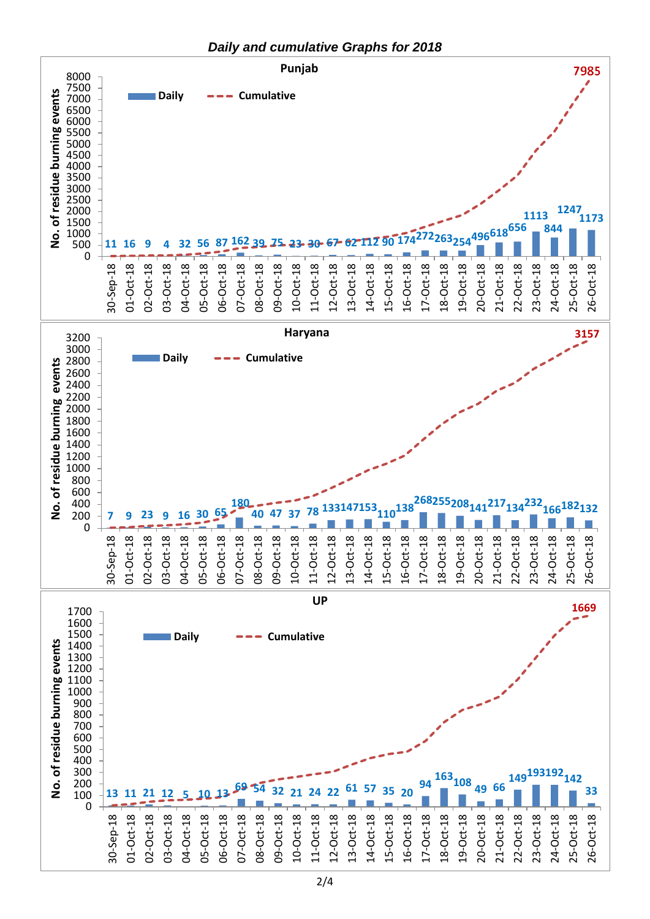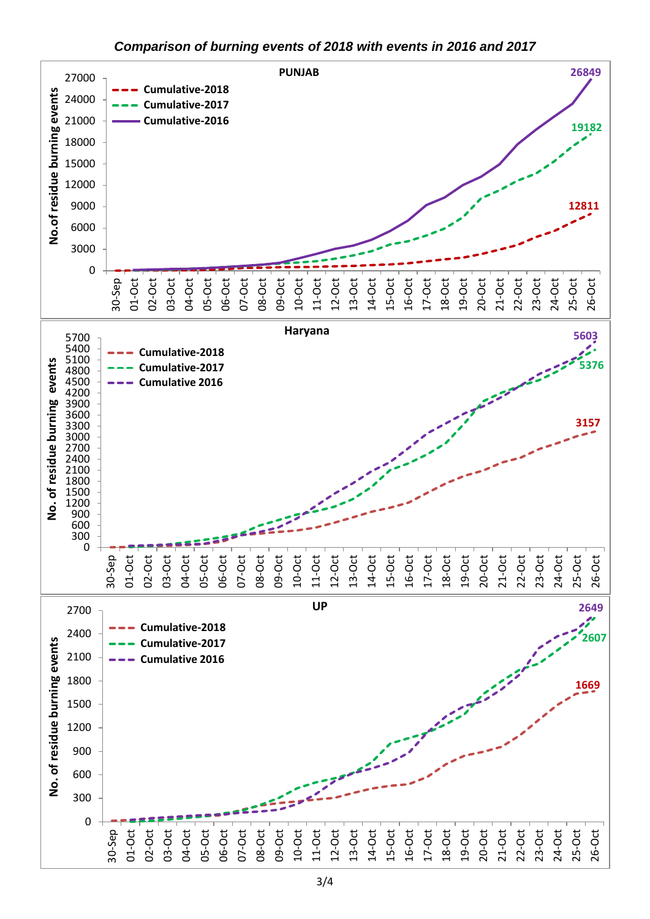